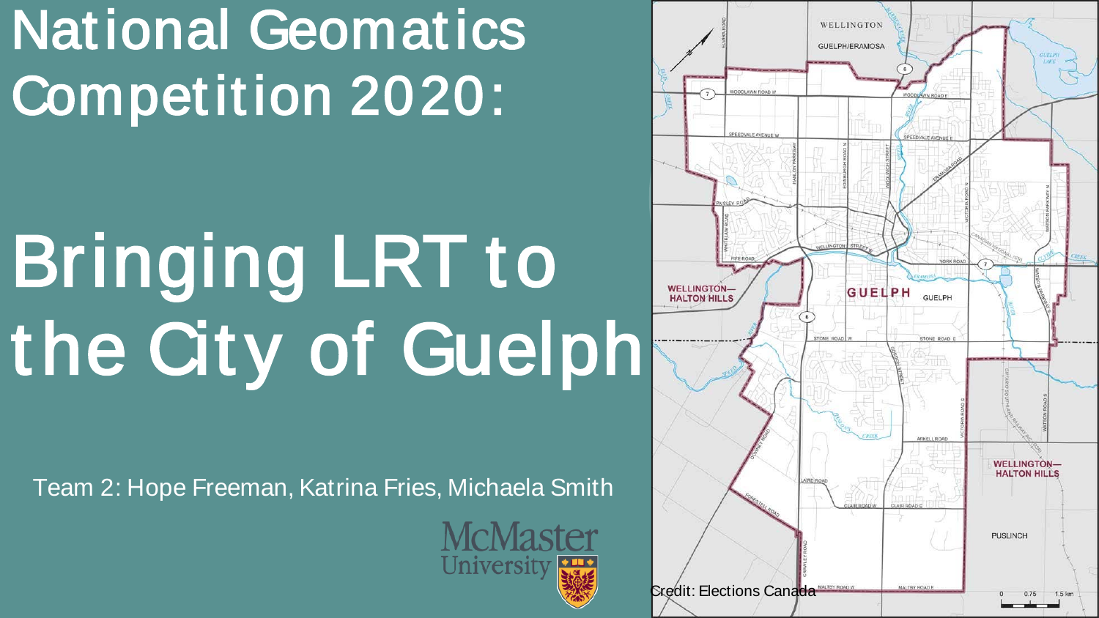### National Geomatics Competition 2020:

## Bringing LRT to the City of Guelph

Team 2: Hope Freeman, Katrina Fries, Michaela Smith



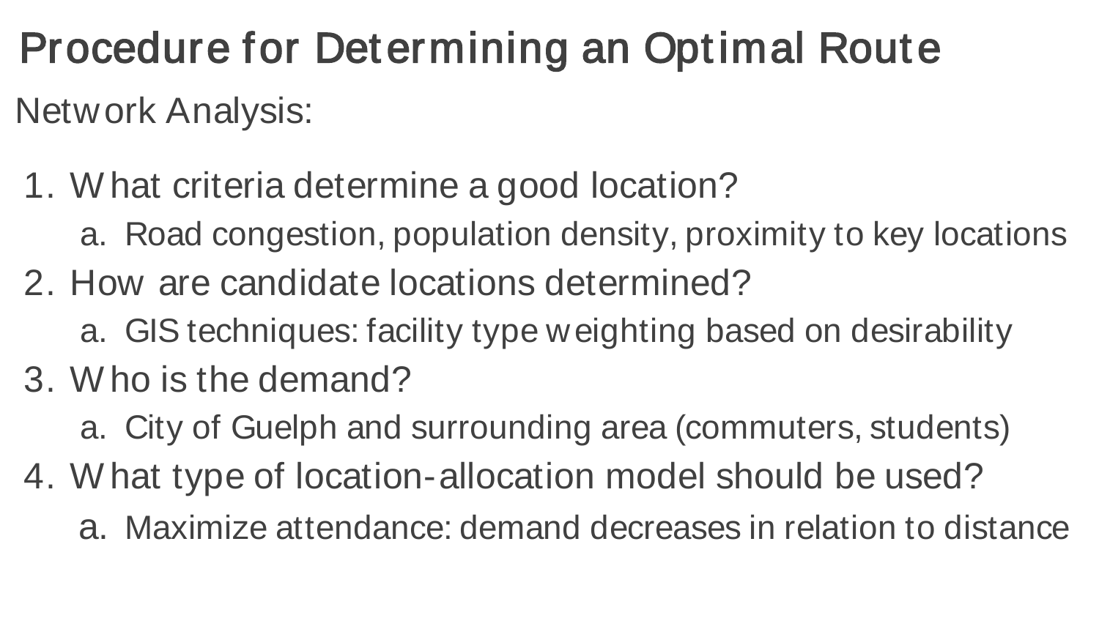Procedure for Determining an Optimal Route

Network Analysis:

- 1. W hat criteria determine a good location?
	- a. Road congestion, population density, proximity to key locations
- 2. How are candidate locations determined?
	- a. GIS techniques: facility type weighting based on desirability
- 3. W ho is the demand?
	- a. City of Guelph and surrounding area (commuters, students)
- 4. W hat type of location-allocation model should be used?
	- a. Maximize attendance: demand decreases in relation to distance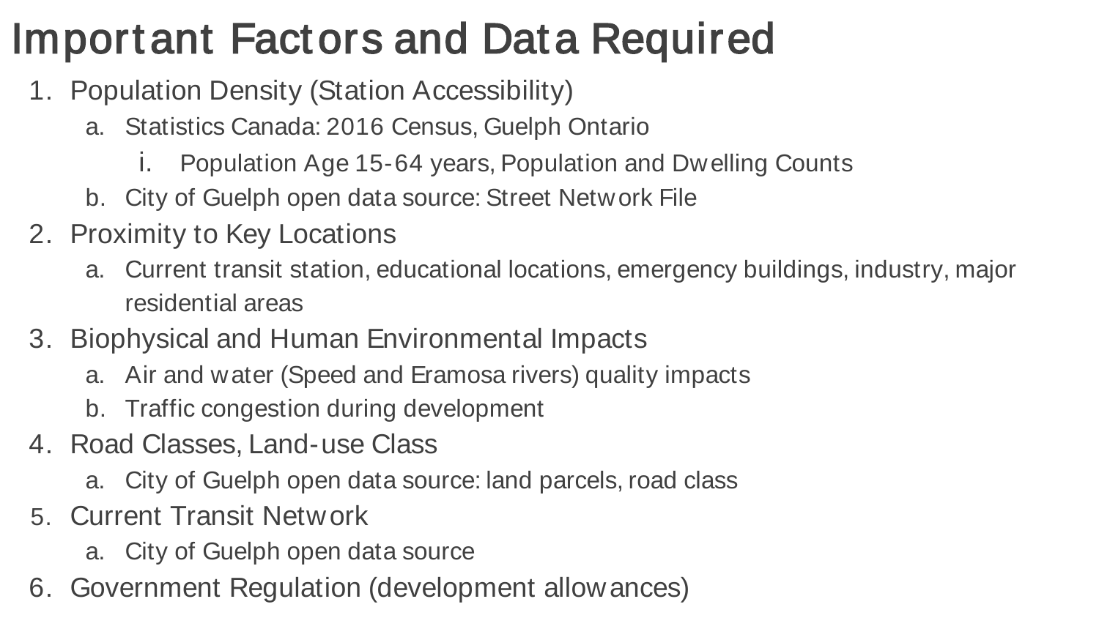#### Important Factors and Data Required

- 1. Population Density (Station Accessibility)
	- a. Statistics Canada: 2016 Census, Guelph Ontario
		- i. Population Age 15-64 years, Population and Dwelling Counts
	- b. City of Guelph open data source: Street Network File
- 2. Proximity to Key Locations
	- a. Current transit station, educational locations, emergency buildings, industry, major residential areas
- 3. Biophysical and Human Environmental Impacts
	- a. Air and water (Speed and Eramosa rivers) quality impacts
	- b. Traffic congestion during development
- 4. Road Classes, Land-use Class
	- a. City of Guelph open data source: land parcels, road class
- 5. Current Transit Network
	- a. City of Guelph open data source
- 6. Government Regulation (development allowances)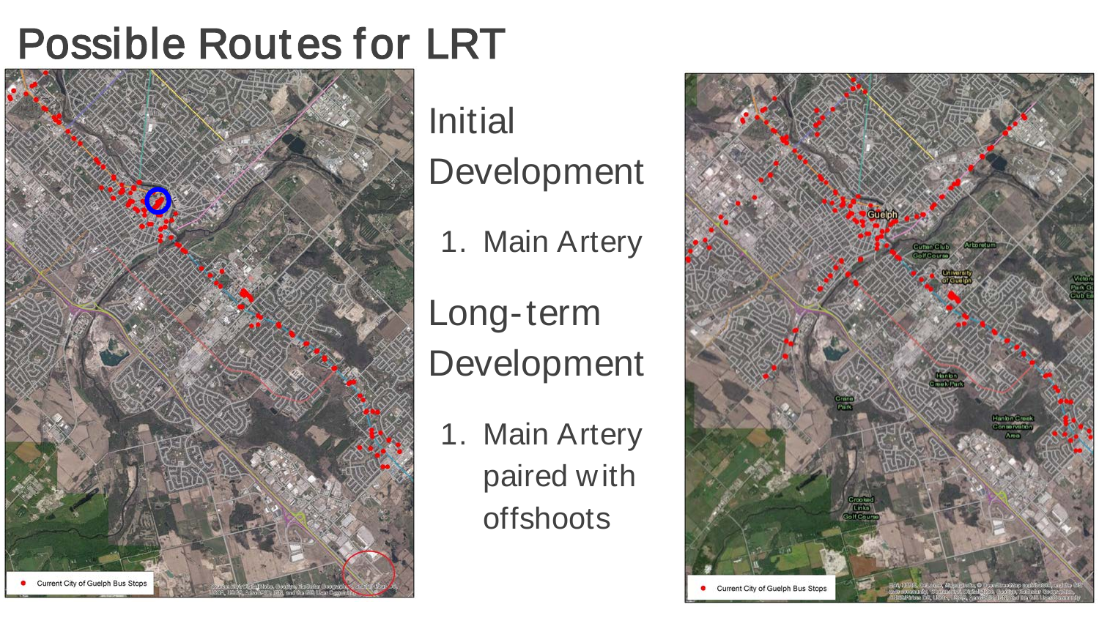#### Possible Routes for LRT



Initial

Development

1. Main Artery

Long-term Development

1. Main Artery paired with offshoots

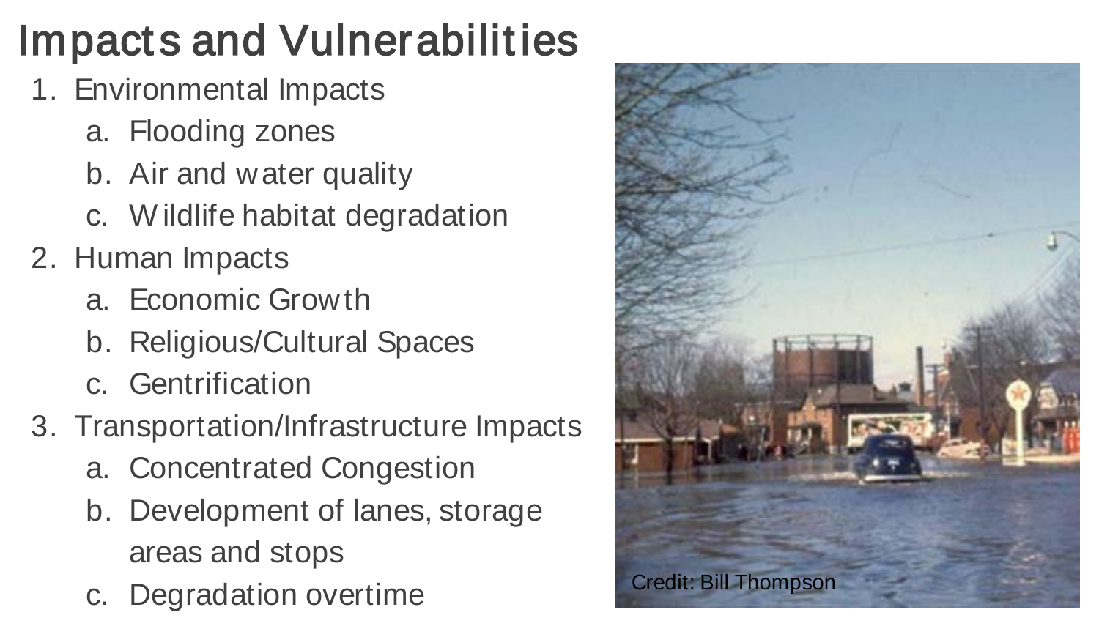#### Impacts and Vulnerabilities

- 1. Environmental Impacts
	- a. Flooding zones
	- b. Air and water quality
	- c. W ildlife habitat degradation
- 2. Human Impacts
	- a. Economic Growth
	- b. Religious/Cultural Spaces
	- c. Gentrification
- 3. Transportation/Infrastructure Impacts
	- a. Concentrated Congestion
	- b. Development of lanes, storage areas and stops
	- c. Degradation overtime Credit: Bill Thompson

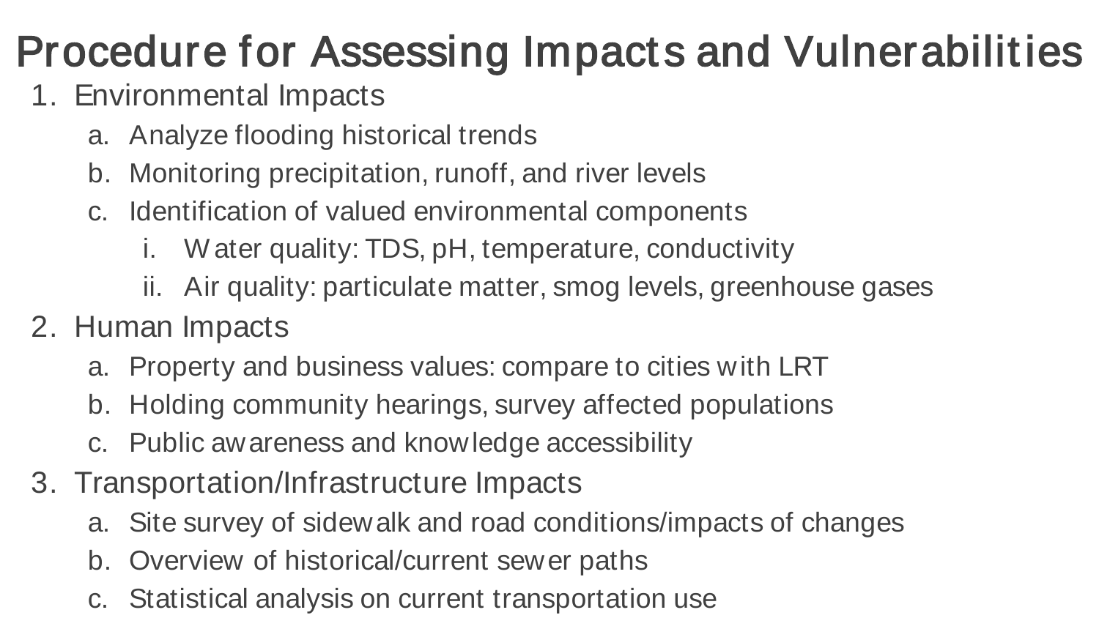#### Procedure for Assessing Impacts and Vulnerabilities

- 1. Environmental Impacts
	- a. Analyze flooding historical trends
	- b. Monitoring precipitation, runoff, and river levels
	- c. Identification of valued environmental components
		- i. W ater quality: TDS, pH, temperature, conductivity
		- ii. Air quality: particulate matter, smog levels, greenhouse gases
- 2. Human Impacts
	- a. Property and business values: compare to cities with LRT
	- b. Holding community hearings, survey affected populations
	- c. Public awareness and knowledge accessibility
- 3. Transportation/Infrastructure Impacts
	- a. Site survey of sidewalk and road conditions/impacts of changes
	- b. Overview of historical/current sewer paths
	- c. Statistical analysis on current transportation use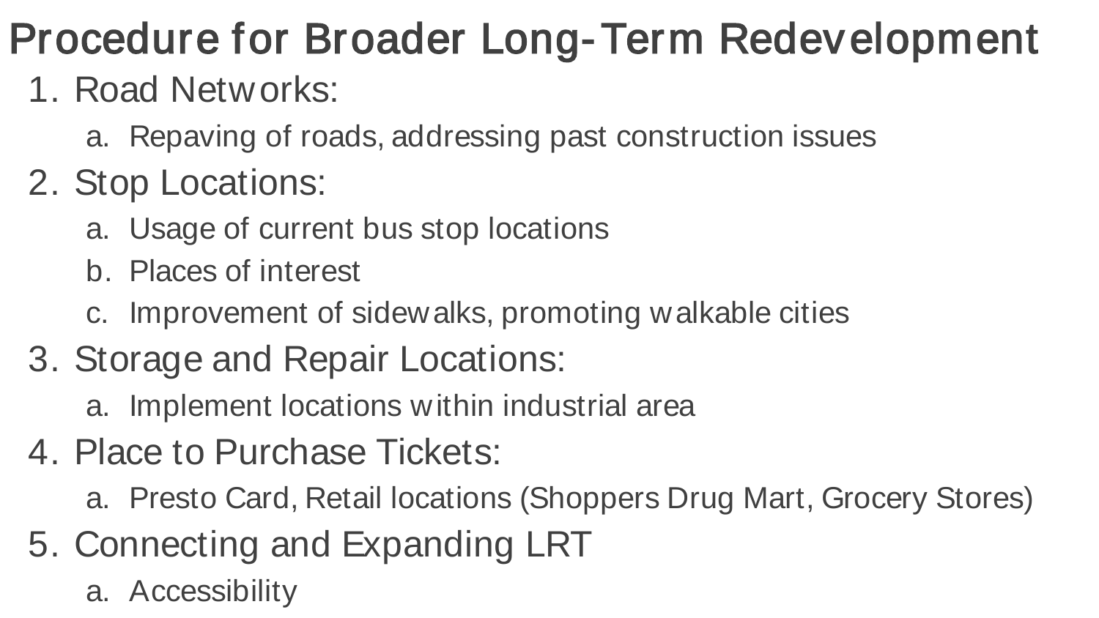#### Procedure for Broader Long-Term Redevelopment

#### 1. Road Networks:

- a. Repaving of roads, addressing past construction issues
- 2. Stop Locations:
	- a. Usage of current bus stop locations
	- b. Places of interest
	- c. Improvement of sidewalks, promoting walkable cities

#### 3. Storage and Repair Locations:

- a. Implement locations within industrial area
- 4. Place to Purchase Tickets:
	- a. Presto Card, Retail locations (Shoppers Drug Mart, Grocery Stores)
- 5. Connecting and Expanding LRT
	- a. Accessibility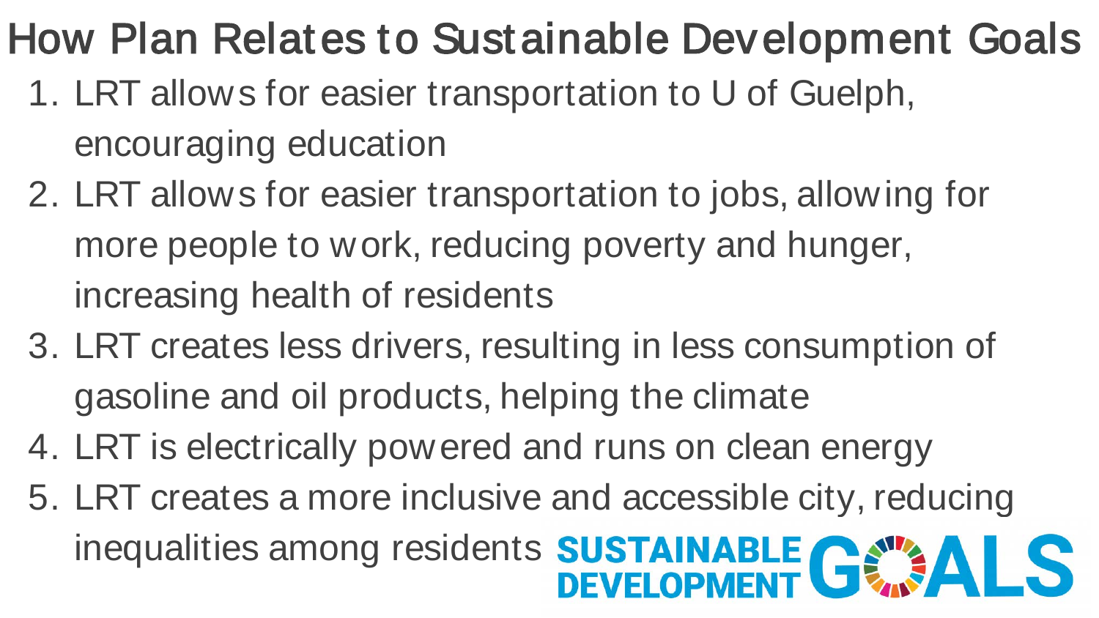#### How Plan Relates to Sustainable Development Goals

- 1. LRT allows for easier transportation to U of Guelph, encouraging education
- 2. LRT allows for easier transportation to jobs, allowing for more people to work, reducing poverty and hunger, increasing health of residents
- 3. LRT creates less drivers, resulting in less consumption of gasoline and oil products, helping the climate
- 4. LRT is electrically powered and runs on clean energy
- 5. LRT creates a more inclusive and accessible city, reducing inequalities among residents **SUSTAINABLE CEMENT**